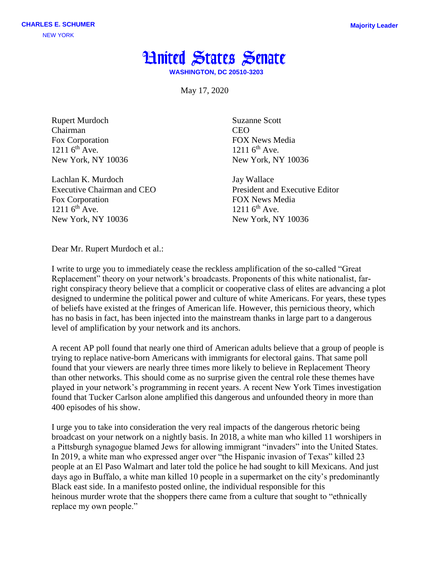

**WASHINGTON, DC 20510-3203**

May 17, 2020

Rupert Murdoch Chairman Fox Corporation  $1211.6^{th}$  Ave. New York, NY 10036

Lachlan K. Murdoch Executive Chairman and CEO Fox Corporation  $1211.6^{th}$  Ave. New York, NY 10036

Suzanne Scott CEO FOX News Media  $1211.6^{th}$  Ave. New York, NY 10036

Jay Wallace President and Executive Editor FOX News Media  $1211.6^{th}$  Ave. New York, NY 10036

Dear Mr. Rupert Murdoch et al.:

I write to urge you to immediately cease the reckless amplification of the so-called "Great Replacement" theory on your network's broadcasts. Proponents of this white nationalist, farright conspiracy theory believe that a complicit or cooperative class of elites are advancing a plot designed to undermine the political power and culture of white Americans. For years, these types of beliefs have existed at the fringes of American life. However, this pernicious theory, which has no basis in fact, has been injected into the mainstream thanks in large part to a dangerous level of amplification by your network and its anchors.

A recent AP poll found that nearly one third of American adults believe that a group of people is trying to replace native-born Americans with immigrants for electoral gains. That same poll found that your viewers are nearly three times more likely to believe in Replacement Theory than other networks. This should come as no surprise given the central role these themes have played in your network's programming in recent years. A recent New York Times investigation found that Tucker Carlson alone amplified this dangerous and unfounded theory in more than 400 episodes of his show.

I urge you to take into consideration the very real impacts of the dangerous rhetoric being broadcast on your network on a nightly basis. In 2018, a white man who killed 11 worshipers in a Pittsburgh synagogue blamed Jews for allowing immigrant "invaders" into the United States. In 2019, a white man who expressed anger over "the Hispanic invasion of Texas" killed 23 people at an El Paso Walmart and later told the police he had sought to kill Mexicans. And just days ago in Buffalo, a white man killed 10 people in a supermarket on the city's predominantly Black east side. In a manifesto posted online, the individual responsible for this heinous murder wrote that the shoppers there came from a culture that sought to "ethnically replace my own people."